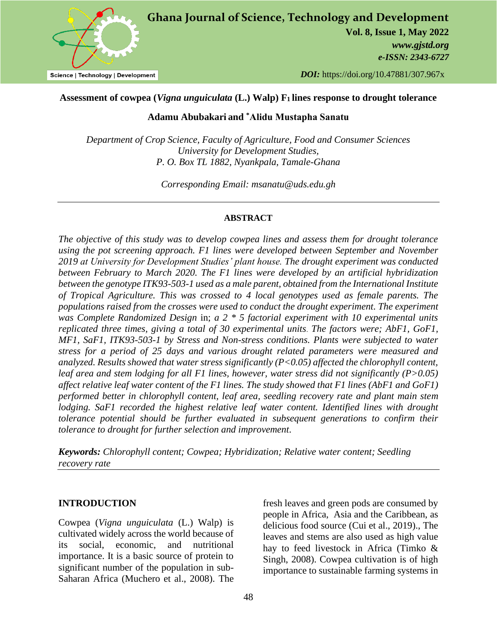

# *DOI:* https://doi.org/10.47881/307.967x

# **Assessment of cowpea (***Vigna unguiculata* **(L.) Walp) F<sup>1</sup> lines response to drought tolerance**

# **Adamu Abubakari and \*Alidu Mustapha Sanatu**

*Department of Crop Science, Faculty of Agriculture, Food and Consumer Sciences University for Development Studies, P. O. Box TL 1882, Nyankpala, Tamale-Ghana*

*Corresponding Email: msanatu@uds.edu.gh*

### **ABSTRACT**

*The objective of this study was to develop cowpea lines and assess them for drought tolerance using the pot screening approach. F1 lines were developed between September and November 2019 at University for Development Studies' plant house. The drought experiment was conducted between February to March 2020. The F1 lines were developed by an artificial hybridization between the genotype ITK93-503-1 used as a male parent, obtained from the International Institute of Tropical Agriculture. This was crossed to 4 local genotypes used as female parents. The populations raised from the crosses were used to conduct the drought experiment. The experiment was Complete Randomized Design* in; *a 2 \* 5 factorial experiment with 10 experimental units replicated three times, giving a total of 30 experimental units*. *The factors were; AbF1, GoF1, MF1, SaF1, ITK93-503-1 by Stress and Non-stress conditions. Plants were subjected to water stress for a period of 25 days and various drought related parameters were measured and analyzed. Results showed that water stress significantly (P<0.05) affected the chlorophyll content, leaf area and stem lodging for all F1 lines, however, water stress did not significantly (P>0.05) affect relative leaf water content of the F1 lines. The study showed that F1 lines (AbF1 and GoF1) performed better in chlorophyll content, leaf area, seedling recovery rate and plant main stem lodging. SaF1 recorded the highest relative leaf water content. Identified lines with drought tolerance potential should be further evaluated in subsequent generations to confirm their tolerance to drought for further selection and improvement*.

*Keywords: Chlorophyll content; Cowpea; Hybridization; Relative water content; Seedling recovery rate*

# **INTRODUCTION**

Cowpea (*Vigna unguiculata* (L.) Walp) is cultivated widely across the world because of its social, economic, and nutritional importance. It is a basic source of protein to significant number of the population in sub-Saharan Africa (Muchero et al., 2008). The

fresh leaves and green pods are consumed by people in Africa, Asia and the Caribbean, as delicious food source (Cui et al., 2019)., The leaves and stems are also used as high value hay to feed livestock in Africa (Timko & Singh, 2008). Cowpea cultivation is of high importance to sustainable farming systems in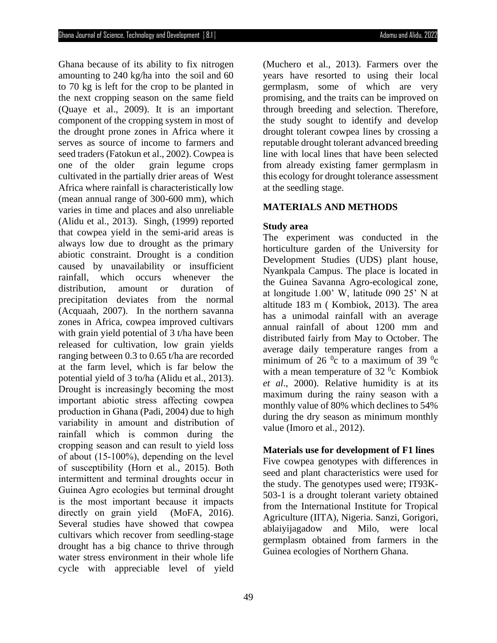Ghana because of its ability to fix nitrogen amounting to 240 kg/ha into the soil and 60 to 70 kg is left for the crop to be planted in the next cropping season on the same field (Quaye et al., 2009). It is an important component of the cropping system in most of the drought prone zones in Africa where it serves as source of income to farmers and seed traders (Fatokun et al., 2002). Cowpea is one of the older grain legume crops cultivated in the partially drier areas of West Africa where rainfall is characteristically low (mean annual range of 300-600 mm), which varies in time and places and also unreliable (Alidu et al., 2013). Singh, (1999) reported that cowpea yield in the semi-arid areas is always low due to drought as the primary abiotic constraint. Drought is a condition caused by unavailability or insufficient rainfall, which occurs whenever the distribution, amount or duration of precipitation deviates from the normal (Acquaah, 2007). In the northern savanna zones in Africa, cowpea improved cultivars with grain yield potential of 3 t/ha have been released for cultivation, low grain yields ranging between 0.3 to 0.65 t/ha are recorded at the farm level, which is far below the potential yield of 3 to/ha (Alidu et al., 2013). Drought is increasingly becoming the most important abiotic stress affecting cowpea production in Ghana (Padi, 2004) due to high variability in amount and distribution of rainfall which is common during the cropping season and can result to yield loss of about (15-100%), depending on the level of susceptibility (Horn et al., 2015). Both intermittent and terminal droughts occur in Guinea Agro ecologies but terminal drought is the most important because it impacts directly on grain yield (MoFA, 2016). Several studies have showed that cowpea cultivars which recover from seedling-stage drought has a big chance to thrive through water stress environment in their whole life cycle with appreciable level of yield

(Muchero et al., 2013). Farmers over the years have resorted to using their local germplasm, some of which are very promising, and the traits can be improved on through breeding and selection. Therefore, the study sought to identify and develop drought tolerant cowpea lines by crossing a reputable drought tolerant advanced breeding line with local lines that have been selected from already existing famer germplasm in this ecology for drought tolerance assessment at the seedling stage.

# **MATERIALS AND METHODS**

#### **Study area**

The experiment was conducted in the horticulture garden of the University for Development Studies (UDS) plant house, Nyankpala Campus. The place is located in the Guinea Savanna Agro-ecological zone, at longitude 1.00' W, latitude 090 25' N at altitude 183 m ( Kombiok, 2013). The area has a unimodal rainfall with an average annual rainfall of about 1200 mm and distributed fairly from May to October. The average daily temperature ranges from a minimum of 26 $\mathrm{^{0}c}$  to a maximum of 39 $\mathrm{^{0}c}$ with a mean temperature of 32 $\degree$ c Kombiok *et al*., 2000). Relative humidity is at its maximum during the rainy season with a monthly value of 80% which declines to 54% during the dry season as minimum monthly value (Imoro et al., 2012).

#### **Materials use for development of F1 lines**

Five cowpea genotypes with differences in seed and plant characteristics were used for the study. The genotypes used were; IT93K-503-1 is a drought tolerant variety obtained from the International Institute for Tropical Agriculture (IITA), Nigeria. Sanzi, Gorigori, ablaiyijagadow and Milo, were local germplasm obtained from farmers in the Guinea ecologies of Northern Ghana.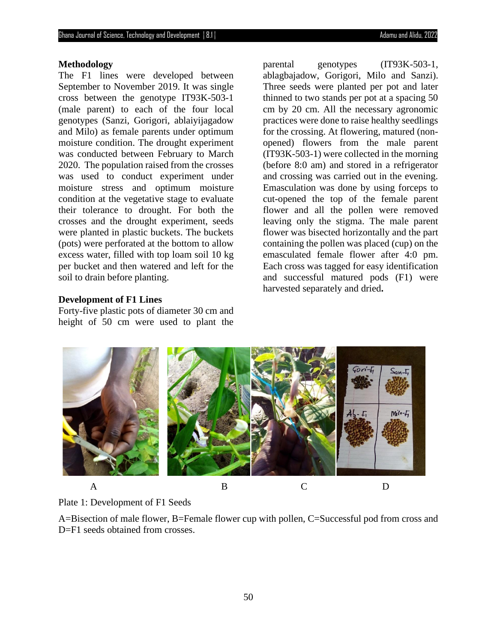#### **Methodology**

The F1 lines were developed between September to November 2019. It was single cross between the genotype IT93K-503-1 (male parent) to each of the four local genotypes (Sanzi, Gorigori, ablaiyijagadow and Milo) as female parents under optimum moisture condition. The drought experiment was conducted between February to March 2020. The population raised from the crosses was used to conduct experiment under moisture stress and optimum moisture condition at the vegetative stage to evaluate their tolerance to drought. For both the crosses and the drought experiment, seeds were planted in plastic buckets. The buckets (pots) were perforated at the bottom to allow excess water, filled with top loam soil 10 kg per bucket and then watered and left for the soil to drain before planting.

parental genotypes (IT93K-503-1, ablagbajadow, Gorigori, Milo and Sanzi). Three seeds were planted per pot and later thinned to two stands per pot at a spacing 50 cm by 20 cm. All the necessary agronomic practices were done to raise healthy seedlings for the crossing. At flowering, matured (nonopened) flowers from the male parent (IT93K-503-1) were collected in the morning (before 8:0 am) and stored in a refrigerator and crossing was carried out in the evening. Emasculation was done by using forceps to cut-opened the top of the female parent flower and all the pollen were removed leaving only the stigma. The male parent flower was bisected horizontally and the part containing the pollen was placed (cup) on the emasculated female flower after 4:0 pm. Each cross was tagged for easy identification and successful matured pods (F1) were harvested separately and dried**.**

### **Development of F1 Lines**

Forty-five plastic pots of diameter 30 cm and height of 50 cm were used to plant the





A=Bisection of male flower, B=Female flower cup with pollen, C=Successful pod from cross and D=F1 seeds obtained from crosses.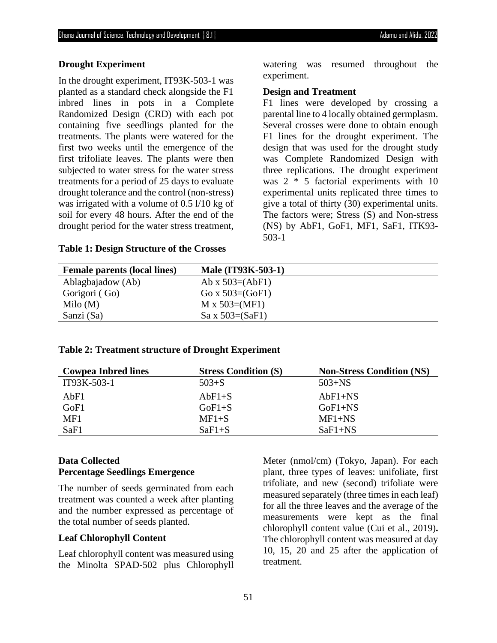#### **Drought Experiment**

In the drought experiment, IT93K-503-1 was planted as a standard check alongside the F1 inbred lines in pots in a Complete Randomized Design (CRD) with each pot containing five seedlings planted for the treatments. The plants were watered for the first two weeks until the emergence of the first trifoliate leaves. The plants were then subjected to water stress for the water stress treatments for a period of 25 days to evaluate drought tolerance and the control (non-stress) was irrigated with a volume of 0.5 l/10 kg of soil for every 48 hours. After the end of the drought period for the water stress treatment,

#### **Table 1: Design Structure of the Crosses**

watering was resumed throughout the experiment.

#### **Design and Treatment**

F1 lines were developed by crossing a parental line to 4 locally obtained germplasm. Several crosses were done to obtain enough F1 lines for the drought experiment. The design that was used for the drought study was Complete Randomized Design with three replications. The drought experiment was 2 \* 5 factorial experiments with 10 experimental units replicated three times to give a total of thirty (30) experimental units. The factors were; Stress (S) and Non-stress (NS) by AbF1, GoF1, MF1, SaF1, ITK93- 503-1

| <b>Male (IT93K-503-1)</b> |
|---------------------------|
| Ab x $503=(AbF1)$         |
| Go x $503=(GoF1)$         |
| $M \times 503 = (MF1)$    |
| $Sa \times 503 = (SaF1)$  |
|                           |

### **Table 2: Treatment structure of Drought Experiment**

| <b>Cowpea Inbred lines</b> | <b>Stress Condition (S)</b> | <b>Non-Stress Condition (NS)</b> |
|----------------------------|-----------------------------|----------------------------------|
| IT93K-503-1                | $503 + S$                   | $503 + NS$                       |
| AbF1                       | $AbF1+S$                    | $AbF1+NS$                        |
| GoF1                       | $GoF1 + S$                  | $GoF1+NS$                        |
| MF1                        | $MF1+S$                     | $MF1+NS$                         |
| SaF1                       | $SaF1+S$                    | $SaF1+NS$                        |

# **Data Collected Percentage Seedlings Emergence**

The number of seeds germinated from each treatment was counted a week after planting and the number expressed as percentage of the total number of seeds planted.

#### **Leaf Chlorophyll Content**

Leaf chlorophyll content was measured using the Minolta SPAD-502 plus Chlorophyll Meter (nmol/cm) (Tokyo, Japan). For each plant, three types of leaves: unifoliate, first trifoliate, and new (second) trifoliate were measured separately (three times in each leaf) for all the three leaves and the average of the measurements were kept as the final chlorophyll content value (Cui et al., 2019)**.**  The chlorophyll content was measured at day 10, 15, 20 and 25 after the application of treatment.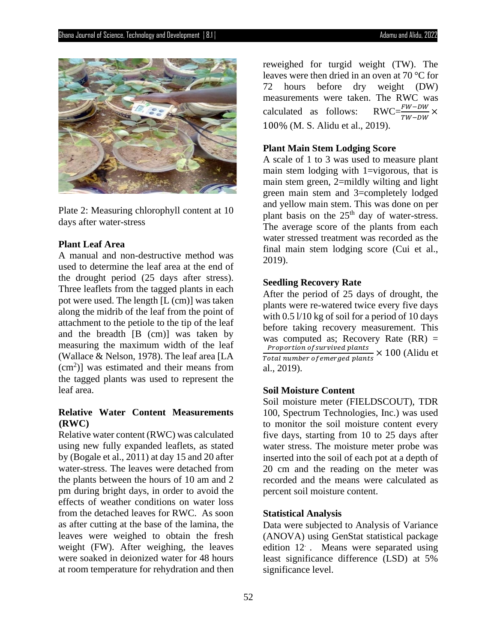

Plate 2: Measuring chlorophyll content at 10 days after water-stress

### **Plant Leaf Area**

A manual and non-destructive method was used to determine the leaf area at the end of the drought period (25 days after stress). Three leaflets from the tagged plants in each pot were used. The length [L (cm)] was taken along the midrib of the leaf from the point of attachment to the petiole to the tip of the leaf and the breadth [B (cm)] was taken by measuring the maximum width of the leaf (Wallace & Nelson, 1978). The leaf area [LA  $(cm<sup>2</sup>)$ ] was estimated and their means from the tagged plants was used to represent the leaf area.

# **Relative Water Content Measurements (RWC)**

Relative water content (RWC) was calculated using new fully expanded leaflets, as stated by (Bogale et al., 2011) at day 15 and 20 after water-stress. The leaves were detached from the plants between the hours of 10 am and 2 pm during bright days, in order to avoid the effects of weather conditions on water loss from the detached leaves for RWC. As soon as after cutting at the base of the lamina, the leaves were weighed to obtain the fresh weight (FW). After weighing, the leaves were soaked in deionized water for 48 hours at room temperature for rehydration and then

reweighed for turgid weight (TW). The leaves were then dried in an oven at 70 °C for 72 hours before dry weight (DW) measurements were taken. The RWC was calculated as follows:  $\frac{1}{TW - DW}$  × 100% (M. S. Alidu et al., 2019).

### **Plant Main Stem Lodging Score**

A scale of 1 to 3 was used to measure plant main stem lodging with 1=vigorous, that is main stem green, 2=mildly wilting and light green main stem and 3=completely lodged and yellow main stem. This was done on per plant basis on the  $25<sup>th</sup>$  day of water-stress. The average score of the plants from each water stressed treatment was recorded as the final main stem lodging score (Cui et al., 2019).

#### **Seedling Recovery Rate**

After the period of 25 days of drought, the plants were re-watered twice every five days with  $0.5 \frac{1}{10}$  kg of soil for a period of 10 days before taking recovery measurement. This was computed as; Recovery Rate  $(RR)$  = Proportion of survived plants<br>at almost a formation of plants  $\times$  100 (Alidu et Total number of emerged plants al., 2019).

## **Soil Moisture Content**

Soil moisture meter (FIELDSCOUT), TDR 100, Spectrum Technologies, Inc.) was used to monitor the soil moisture content every five days, starting from 10 to 25 days after water stress. The moisture meter probe was inserted into the soil of each pot at a depth of 20 cm and the reading on the meter was recorded and the means were calculated as percent soil moisture content.

# **Statistical Analysis**

Data were subjected to Analysis of Variance (ANOVA) using GenStat statistical package edition 12 . Means were separated using least significance difference (LSD) at 5% significance level.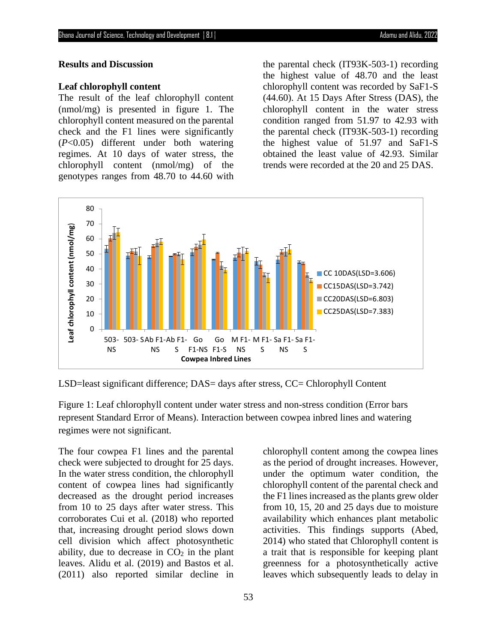### **Results and Discussion**

### **Leaf chlorophyll content**

The result of the leaf chlorophyll content (nmol/mg) is presented in figure 1. The chlorophyll content measured on the parental check and the F1 lines were significantly (*P*<0.05) different under both watering regimes. At 10 days of water stress, the chlorophyll content (nmol/mg) of the genotypes ranges from 48.70 to 44.60 with the parental check (IT93K-503-1) recording the highest value of 48.70 and the least chlorophyll content was recorded by SaF1-S (44.60). At 15 Days After Stress (DAS), the chlorophyll content in the water stress condition ranged from 51.97 to 42.93 with the parental check (IT93K-503-1) recording the highest value of 51.97 and SaF1-S obtained the least value of 42.93. Similar trends were recorded at the 20 and 25 DAS.



LSD=least significant difference; DAS= days after stress, CC= Chlorophyll Content

Figure 1: Leaf chlorophyll content under water stress and non-stress condition (Error bars represent Standard Error of Means). Interaction between cowpea inbred lines and watering regimes were not significant.

The four cowpea F1 lines and the parental check were subjected to drought for 25 days. In the water stress condition, the chlorophyll content of cowpea lines had significantly decreased as the drought period increases from 10 to 25 days after water stress. This corroborates Cui et al. (2018) who reported that, increasing drought period slows down cell division which affect photosynthetic ability, due to decrease in  $CO<sub>2</sub>$  in the plant leaves. Alidu et al. (2019) and Bastos et al. (2011) also reported similar decline in

chlorophyll content among the cowpea lines as the period of drought increases. However, under the optimum water condition, the chlorophyll content of the parental check and the F1 lines increased as the plants grew older from 10, 15, 20 and 25 days due to moisture availability which enhances plant metabolic activities. This findings supports (Abed, 2014) who stated that Chlorophyll content is a trait that is responsible for keeping plant greenness for a photosynthetically active leaves which subsequently leads to delay in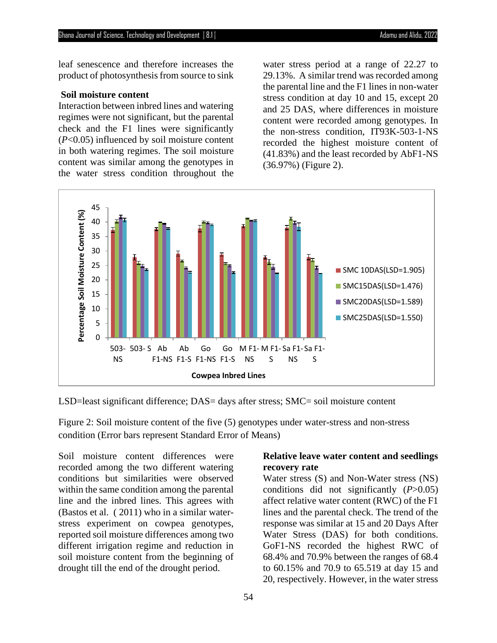leaf senescence and therefore increases the product of photosynthesis from source to sink

#### **Soil moisture content**

Interaction between inbred lines and watering regimes were not significant, but the parental check and the F1 lines were significantly (*P*<0.05) influenced by soil moisture content in both watering regimes. The soil moisture content was similar among the genotypes in the water stress condition throughout the

water stress period at a range of 22.27 to 29.13%. A similar trend was recorded among the parental line and the F1 lines in non-water stress condition at day 10 and 15, except 20 and 25 DAS, where differences in moisture content were recorded among genotypes. In the non-stress condition, IT93K-503-1-NS recorded the highest moisture content of (41.83%) and the least recorded by AbF1-NS (36.97%) (Figure 2).



LSD=least significant difference; DAS= days after stress; SMC= soil moisture content

Figure 2: Soil moisture content of the five (5) genotypes under water-stress and non-stress condition (Error bars represent Standard Error of Means)

Soil moisture content differences were recorded among the two different watering conditions but similarities were observed within the same condition among the parental line and the inbred lines. This agrees with (Bastos et al. ( 2011) who in a similar waterstress experiment on cowpea genotypes, reported soil moisture differences among two different irrigation regime and reduction in soil moisture content from the beginning of drought till the end of the drought period.

# **Relative leave water content and seedlings recovery rate**

Water stress (S) and Non-Water stress (NS) conditions did not significantly (*P*>0.05) affect relative water content (RWC) of the F1 lines and the parental check. The trend of the response was similar at 15 and 20 Days After Water Stress (DAS) for both conditions. GoF1-NS recorded the highest RWC of 68.4% and 70.9% between the ranges of 68.4 to 60.15% and 70.9 to 65.519 at day 15 and 20, respectively. However, in the water stress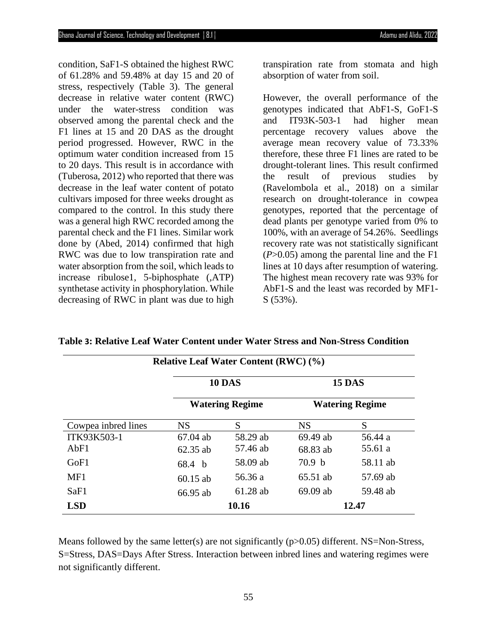condition, SaF1-S obtained the highest RWC of 61.28% and 59.48% at day 15 and 20 of stress, respectively (Table 3). The general decrease in relative water content (RWC) under the water-stress condition was observed among the parental check and the F1 lines at 15 and 20 DAS as the drought period progressed. However, RWC in the optimum water condition increased from 15 to 20 days. This result is in accordance with (Tuberosa, 2012) who reported that there was decrease in the leaf water content of potato cultivars imposed for three weeks drought as compared to the control. In this study there was a general high RWC recorded among the parental check and the F1 lines. Similar work done by (Abed, 2014) confirmed that high RWC was due to low transpiration rate and water absorption from the soil, which leads to increase ribulose1, 5-biphosphate (,ATP) synthetase activity in phosphorylation. While decreasing of RWC in plant was due to high

transpiration rate from stomata and high absorption of water from soil.

However, the overall performance of the genotypes indicated that AbF1-S, GoF1-S and IT93K-503-1 had higher mean percentage recovery values above the average mean recovery value of 73.33% therefore, these three F1 lines are rated to be drought-tolerant lines. This result confirmed the result of previous studies by (Ravelombola et al., 2018) on a similar research on drought-tolerance in cowpea genotypes, reported that the percentage of dead plants per genotype varied from 0% to 100%, with an average of 54.26%. Seedlings recovery rate was not statistically significant (*P*>0.05) among the parental line and the F1 lines at 10 days after resumption of watering. The highest mean recovery rate was 93% for AbF1-S and the least was recorded by MF1- S (53%).

| <b>Relative Leaf Water Content (RWC) (%)</b> |                                         |            |                                         |          |
|----------------------------------------------|-----------------------------------------|------------|-----------------------------------------|----------|
|                                              | <b>10 DAS</b><br><b>Watering Regime</b> |            | <b>15 DAS</b><br><b>Watering Regime</b> |          |
|                                              |                                         |            |                                         |          |
| Cowpea inbred lines                          | <b>NS</b>                               | S          | <b>NS</b>                               | S        |
| ITK93K503-1                                  | $67.04$ ab                              | 58.29 ab   | 69.49 ab                                | 56.44 a  |
| AbF1                                         | $62.35$ ab                              | 57.46 ab   | 68.83 ab                                | 55.61 a  |
| GoF1                                         | 68.4 b                                  | 58.09 ab   | 70.9 <sub>b</sub>                       | 58.11 ab |
| MF1                                          | $60.15$ ab                              | 56.36 a    | 65.51 ab                                | 57.69 ab |
| SaF1                                         | 66.95 ab                                | $61.28$ ab | $69.09$ ab                              | 59.48 ab |
| <b>LSD</b>                                   | 10.16                                   |            | 12.47                                   |          |

**Table 3: Relative Leaf Water Content under Water Stress and Non-Stress Condition** 

Means followed by the same letter(s) are not significantly ( $p > 0.05$ ) different. NS=Non-Stress, S=Stress, DAS=Days After Stress. Interaction between inbred lines and watering regimes were not significantly different.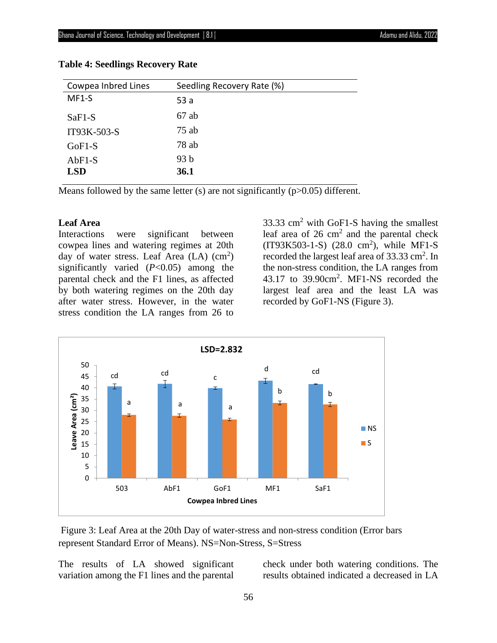| Cowpea Inbred Lines | Seedling Recovery Rate (%) |
|---------------------|----------------------------|
| MF1-S               | 53a                        |
| $SaF1-S$            | $67$ ab                    |
| IT93K-503-S         | $75$ ab                    |
| $GoF1-S$            | $78$ ab                    |
| $AbF1-S$            | 93 <sub>b</sub>            |
| <b>LSD</b>          | 36.1                       |

#### **Table 4: Seedlings Recovery Rate**

Means followed by the same letter (s) are not significantly  $(p>0.05)$  different.

# **Leaf Area**

Interactions were significant between cowpea lines and watering regimes at 20th day of water stress. Leaf Area  $(LA)$   $(cm<sup>2</sup>)$ significantly varied (*P*<0.05) among the parental check and the F1 lines, as affected by both watering regimes on the 20th day after water stress. However, in the water stress condition the LA ranges from 26 to

33.33  $\text{cm}^2$  with GoF1-S having the smallest leaf area of  $26 \text{ cm}^2$  and the parental check  $(IT93K503-1-S)$   $(28.0 \text{ cm}^2)$ , while MF1-S recorded the largest leaf area of 33.33 cm<sup>2</sup>. In the non-stress condition, the LA ranges from 43.17 to  $39.90 \text{cm}^2$ . MF1-NS recorded the largest leaf area and the least LA was recorded by GoF1-NS (Figure 3).



Figure 3: Leaf Area at the 20th Day of water-stress and non-stress condition (Error bars represent Standard Error of Means). NS=Non-Stress, S=Stress

The results of LA showed significant variation among the F1 lines and the parental check under both watering conditions. The results obtained indicated a decreased in LA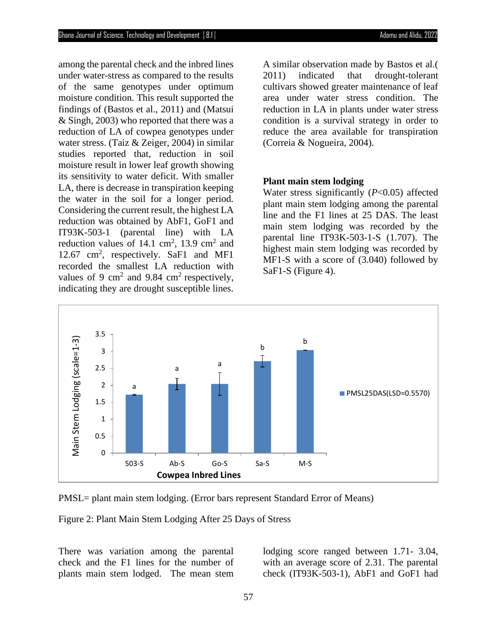among the parental check and the inbred lines under water-stress as compared to the results of the same genotypes under optimum moisture condition. This result supported the findings of (Bastos et al., 2011) and (Matsui & Singh, 2003) who reported that there was a reduction of LA of cowpea genotypes under water stress. (Taiz & Zeiger, 2004) in similar studies reported that, reduction in soil moisture result in lower leaf growth showing its sensitivity to water deficit. With smaller LA, there is decrease in transpiration keeping the water in the soil for a longer period. Considering the current result, the highest LA reduction was obtained by AbF1, GoF1 and IT93K-503-1 (parental line) with LA reduction values of  $14.1 \text{ cm}^2$ ,  $13.9 \text{ cm}^2$  and 12.67 cm<sup>2</sup>, respectively. SaF1 and MF1 recorded the smallest LA reduction with values of 9 cm<sup>2</sup> and 9.84 cm<sup>2</sup> respectively, indicating they are drought susceptible lines.

A similar observation made by Bastos et al.( 2011) indicated that drought-tolerant cultivars showed greater maintenance of leaf area under water stress condition. The reduction in LA in plants under water stress condition is a survival strategy in order to reduce the area available for transpiration (Correia & Nogueira, 2004).

### **Plant main stem lodging**

Water stress significantly (*P*<0.05) affected plant main stem lodging among the parental line and the F1 lines at 25 DAS. The least main stem lodging was recorded by the parental line IT93K-503-1-S (1.707). The highest main stem lodging was recorded by MF1-S with a score of (3.040) followed by SaF1-S (Figure 4).



PMSL= plant main stem lodging. (Error bars represent Standard Error of Means)

Figure 2: Plant Main Stem Lodging After 25 Days of Stress

There was variation among the parental check and the F1 lines for the number of plants main stem lodged. The mean stem lodging score ranged between 1.71- 3.04, with an average score of 2.31. The parental check (IT93K-503-1), AbF1 and GoF1 had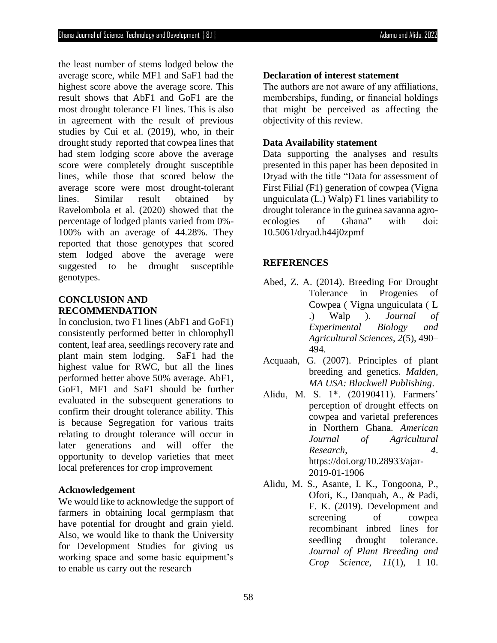the least number of stems lodged below the average score, while MF1 and SaF1 had the highest score above the average score. This result shows that AbF1 and GoF1 are the most drought tolerance F1 lines. This is also in agreement with the result of previous studies by Cui et al. (2019), who, in their drought study reported that cowpea lines that had stem lodging score above the average score were completely drought susceptible lines, while those that scored below the average score were most drought-tolerant lines. Similar result obtained by Ravelombola et al. (2020) showed that the percentage of lodged plants varied from 0%- 100% with an average of 44.28%. They reported that those genotypes that scored stem lodged above the average were suggested to be drought susceptible genotypes.

# **CONCLUSION AND RECOMMENDATION**

In conclusion, two F1 lines (AbF1 and GoF1) consistently performed better in chlorophyll content, leaf area, seedlings recovery rate and plant main stem lodging. SaF1 had the highest value for RWC, but all the lines performed better above 50% average. AbF1, GoF1, MF1 and SaF1 should be further evaluated in the subsequent generations to confirm their drought tolerance ability. This is because Segregation for various traits relating to drought tolerance will occur in later generations and will offer the opportunity to develop varieties that meet local preferences for crop improvement

### **Acknowledgement**

We would like to acknowledge the support of farmers in obtaining local germplasm that have potential for drought and grain yield. Also, we would like to thank the University for Development Studies for giving us working space and some basic equipment's to enable us carry out the research

#### **Declaration of interest statement**

The authors are not aware of any affiliations, memberships, funding, or financial holdings that might be perceived as affecting the objectivity of this review.

### **Data Availability statement**

Data supporting the analyses and results presented in this paper has been deposited in Dryad with the title "Data for assessment of First Filial (F1) generation of cowpea (Vigna unguiculata (L.) Walp) F1 lines variability to drought tolerance in the guinea savanna agroecologies of Ghana" with doi: 10.5061/dryad.h44j0zpmf

# **REFERENCES**

- Abed, Z. A. (2014). Breeding For Drought Tolerance in Progenies of Cowpea ( Vigna unguiculata ( L .) Walp ). *Journal of Experimental Biology and Agricultural Sciences*, *2*(5), 490– 494.
- Acquaah, G. (2007). Principles of plant breeding and genetics. *Malden, MA USA: Blackwell Publishing*.
- Alidu, M. S. 1\*. (20190411). Farmers' perception of drought effects on cowpea and varietal preferences in Northern Ghana. *American Journal of Agricultural Research*, *4*. https://doi.org/10.28933/ajar-2019-01-1906
- Alidu, M. S., Asante, I. K., Tongoona, P., Ofori, K., Danquah, A., & Padi, F. K. (2019). Development and screening of cowpea recombinant inbred lines for seedling drought tolerance. *Journal of Plant Breeding and Crop Science*, *11*(1), 1–10.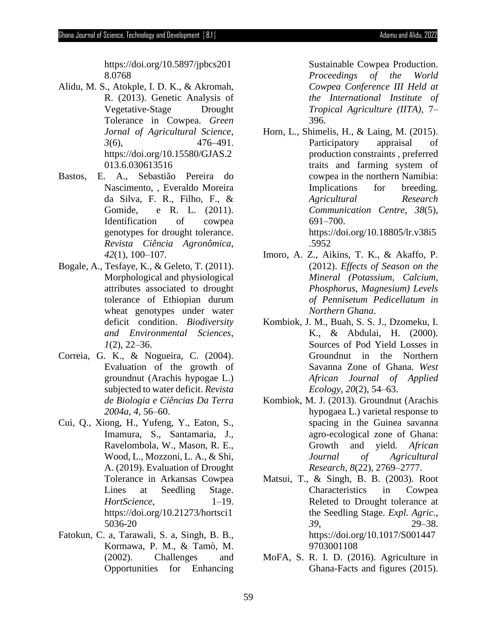- Alidu, M. S., Atokple, I. D. K., & Akromah, R. (2013). Genetic Analysis of Vegetative-Stage Drought Tolerance in Cowpea. *Green Jornal of Agricultural Science*, *3*(6), 476–491. https://doi.org/10.15580/GJAS.2 013.6.030613516
- Bastos, E. A., Sebastião Pereira do Nascimento, , Everaldo Moreira da Silva, F. R., Filho, F., & Gomide, e R. L. (2011). Identification of cowpea genotypes for drought tolerance. *Revista Ciência Agronômica*, *42*(1), 100–107.
- Bogale, A., Tesfaye, K., & Geleto, T. (2011). Morphological and physiological attributes associated to drought tolerance of Ethiopian durum wheat genotypes under water deficit condition. *Biodiversity and Environmental Sciences*, *1*(2), 22–36.
- Correia, G. K., & Nogueira, C. (2004). Evaluation of the growth of groundnut (Arachis hypogae L.) subjected to water deficit. *Revista de Biologia e Ciências Da Terra 2004a*, *4*, 56–60.
- Cui, Q., Xiong, H., Yufeng, Y., Eaton, S., Imamura, S., Santamaria, J., Ravelombola, W., Mason, R. E., Wood, L., Mozzoni, L. A., & Shi, A. (2019). Evaluation of Drought Tolerance in Arkansas Cowpea Lines at Seedling Stage. *HortScience*, 1–19. https://doi.org/10.21273/hortsci1 5036-20
- Fatokun, C. a, Tarawali, S. a, Singh, B. B., Kormawa, P. M., & Tamò, M. (2002). Challenges and Opportunities for Enhancing

Sustainable Cowpea Production. *Proceedings of the World Cowpea Conference III Held at the International Institute of Tropical Agriculture (IITA)*, 7– 396.

- Horn, L., Shimelis, H., & Laing, M. (2015). Participatory appraisal of production constraints , preferred traits and farming system of cowpea in the northern Namibia: Implications for breeding. *Agricultural Research Communication Centre*, *38*(5), 691–700. https://doi.org/10.18805/lr.v38i5 .5952
- Imoro, A. Z., Aikins, T. K., & Akaffo, P. (2012). *Effects of Season on the Mineral (Potassium, Calcium, Phosphorus, Magnesium) Levels of Pennisetum Pedicellatum in Northern Ghana*.
- Kombiok, J. M., Buah, S. S. J., Dzomeku, I. K., & Abdulai, H. (2000). Sources of Pod Yield Losses in Groundnut in the Northern Savanna Zone of Ghana. *West African Journal of Applied Ecology*, *20*(2), 54–63.
- Kombiok, M. J. (2013). Groundnut (Arachis hypogaea L.) varietal response to spacing in the Guinea savanna agro-ecological zone of Ghana: Growth and yield. *African Journal of Agricultural Research*, *8*(22), 2769–2777.
- Matsui, T., & Singh, B. B. (2003). Root Characteristics in Cowpea Releted to Drought tolerance at the Seedling Stage. *Expl. Agric.*, *39*, 29–38. https://doi.org/10.1017/S001447 9703001108
- MoFA, S. R. I. D. (2016). Agriculture in Ghana-Facts and figures (2015).